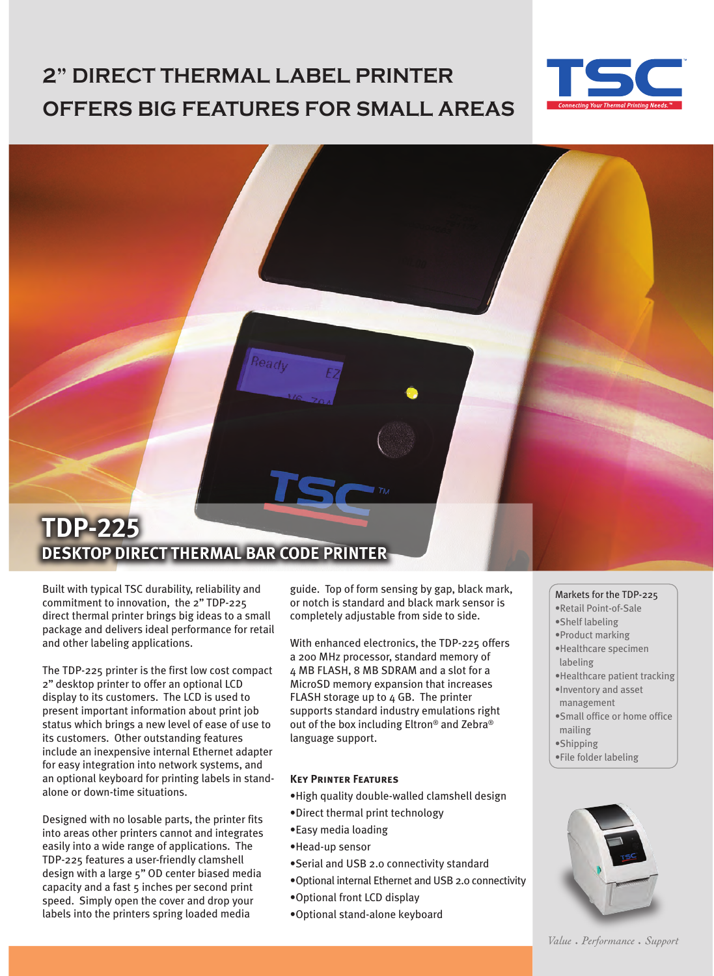# **2" DIRECT THERMAL LABEL PRINTER OFFERS BIG FEATURES FOR SMALL AREAS**



## **TDP-225 DESKTOP DIRECT THERMAL BAR CODE PRINTER**

Built with typical TSC durability, reliability and commitment to innovation, the 2'' TDP-225 direct thermal printer brings big ideas to a small package and delivers ideal performance for retail and other labeling applications.

The TDP-225 printer is the first low cost compact 2'' desktop printer to offer an optional LCD display to its customers. The LCD is used to present important information about print job status which brings a new level of ease of use to its customers. Other outstanding features include an inexpensive internal Ethernet adapter for easy integration into network systems, and an optional keyboard for printing labels in standalone or down-time situations.

Designed with no losable parts, the printer fits into areas other printers cannot and integrates easily into a wide range of applications. The TDP-225 features a user-friendly clamshell design with a large 5'' OD center biased media capacity and a fast 5 inches per second print speed. Simply open the cover and drop your labels into the printers spring loaded media

guide. Top of form sensing by gap, black mark, or notch is standard and black mark sensor is completely adjustable from side to side.

With enhanced electronics, the TDP-225 offers a 200 MHz processor, standard memory of 4 MB FLASH, 8 MB SDRAM and a slot for a MicroSD memory expansion that increases FLASH storage up to 4 GB. The printer supports standard industry emulations right out of the box including Eltron® and Zebra® language support.

### **Key Printer Features**

- •High quality double-walled clamshell design
- •Direct thermal print technology
- •Easy media loading
- •Head-up sensor
- •Serial and USB 2.0 connectivity standard
- •Optional internal Ethernet and USB 2.0 connectivity
- •Optional front LCD display
- •Optional stand-alone keyboard

#### Markets for the TDP-225

- •Retail Point-of-Sale
- •Shelf labeling
- •Product marking
- •Healthcare specimen labeling
- •Healthcare patient tracking
- •Inventory and asset management
- •Small office or home office mailing
- •Shipping
- •File folder labeling



Value • Performance • Support